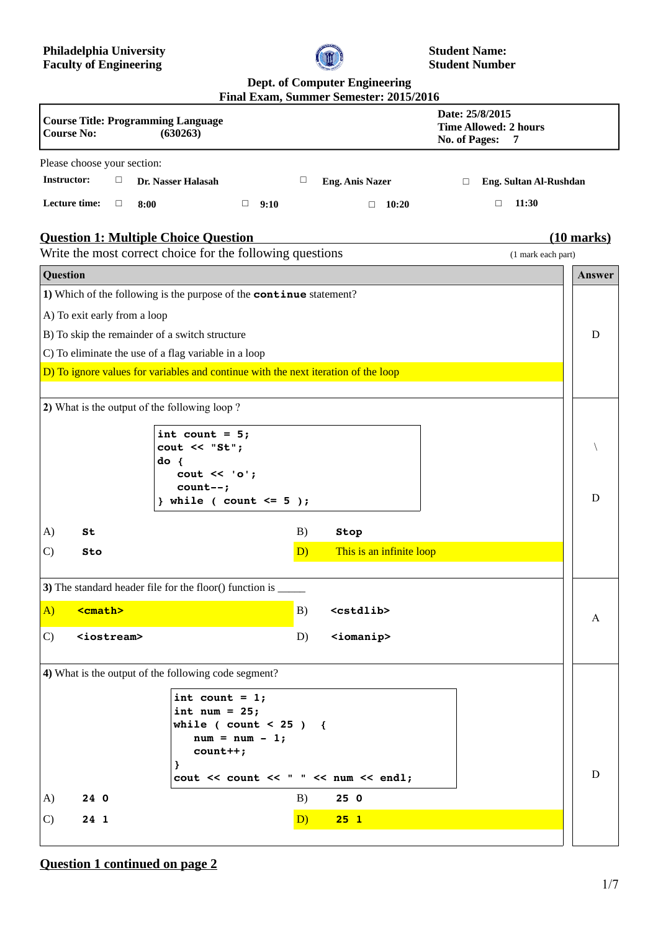

**Student Name: Student Number**

# **Dept. of Computer Engineering**

|                                                                                                                                                        | Final Exam, Summer Semester: 2015/2016                                          |                                                                              |
|--------------------------------------------------------------------------------------------------------------------------------------------------------|---------------------------------------------------------------------------------|------------------------------------------------------------------------------|
| <b>Course Title: Programming Language</b><br><b>Course No:</b><br>(630263)                                                                             |                                                                                 | Date: 25/8/2015<br><b>Time Allowed: 2 hours</b><br><b>No. of Pages:</b><br>7 |
| Please choose your section:                                                                                                                            |                                                                                 |                                                                              |
| <b>Instructor:</b><br>$\Box$<br>Dr. Nasser Halasah                                                                                                     | $\Box$<br><b>Eng. Anis Nazer</b>                                                | Eng. Sultan Al-Rushdan<br>$\Box$                                             |
| Lecture time:<br>$\Box$<br>$\Box$<br>8:00<br>9:10                                                                                                      | 10:20<br>$\Box$                                                                 | 11:30<br>$\Box$                                                              |
| <b>Question 1: Multiple Choice Question</b><br>$(10 \text{ marks})$<br>Write the most correct choice for the following questions<br>(1 mark each part) |                                                                                 |                                                                              |
| Question                                                                                                                                               |                                                                                 | Answer                                                                       |
| 1) Which of the following is the purpose of the continue statement?                                                                                    |                                                                                 |                                                                              |
| A) To exit early from a loop                                                                                                                           |                                                                                 |                                                                              |
| B) To skip the remainder of a switch structure                                                                                                         |                                                                                 |                                                                              |
| C) To eliminate the use of a flag variable in a loop                                                                                                   |                                                                                 | D                                                                            |
| D) To ignore values for variables and continue with the next iteration of the loop                                                                     |                                                                                 |                                                                              |
|                                                                                                                                                        |                                                                                 |                                                                              |
| 2) What is the output of the following loop?                                                                                                           |                                                                                 |                                                                              |
| int count = $5;$                                                                                                                                       |                                                                                 |                                                                              |
| $\text{cout} \ll \text{``St''};$                                                                                                                       |                                                                                 |                                                                              |
| $do \{$                                                                                                                                                |                                                                                 |                                                                              |
| $\text{cut} \ll \text{'}\text{o'}$<br>$count--;$                                                                                                       |                                                                                 |                                                                              |
| } while ( count <= $5$ );                                                                                                                              |                                                                                 | D                                                                            |
| A)<br>St                                                                                                                                               | B)<br>Stop                                                                      |                                                                              |
| $\mathcal{C}$<br>Sto                                                                                                                                   | This is an infinite loop<br>D)                                                  |                                                                              |
|                                                                                                                                                        |                                                                                 |                                                                              |
| 3) The standard header file for the floor() function is _                                                                                              |                                                                                 |                                                                              |
| <cmath><br/><math>\bf{A}</math></cmath>                                                                                                                | B)<br><cstdlib></cstdlib>                                                       |                                                                              |
| <iostream><br/>C)</iostream>                                                                                                                           | <iomanip><br/>D)</iomanip>                                                      | A                                                                            |
|                                                                                                                                                        |                                                                                 |                                                                              |
| 4) What is the output of the following code segment?                                                                                                   |                                                                                 |                                                                              |
| int count = $1;$                                                                                                                                       |                                                                                 |                                                                              |
| int num = $25;$                                                                                                                                        |                                                                                 |                                                                              |
| while ( $count < 25$ ) {<br>$num = num - 1;$                                                                                                           |                                                                                 |                                                                              |
| $count++;$                                                                                                                                             |                                                                                 |                                                                              |
| ł                                                                                                                                                      | $\text{cut} \ll \text{count} \ll \text{``}$ " $\ll \text{num} \ll \text{end}$ ; | D                                                                            |
| 24 0<br>A)                                                                                                                                             | B)<br>25 0                                                                      |                                                                              |
| C)<br>24 1                                                                                                                                             | D)<br>25 <sub>1</sub>                                                           |                                                                              |
|                                                                                                                                                        |                                                                                 |                                                                              |

**Question 1 continued on page 2**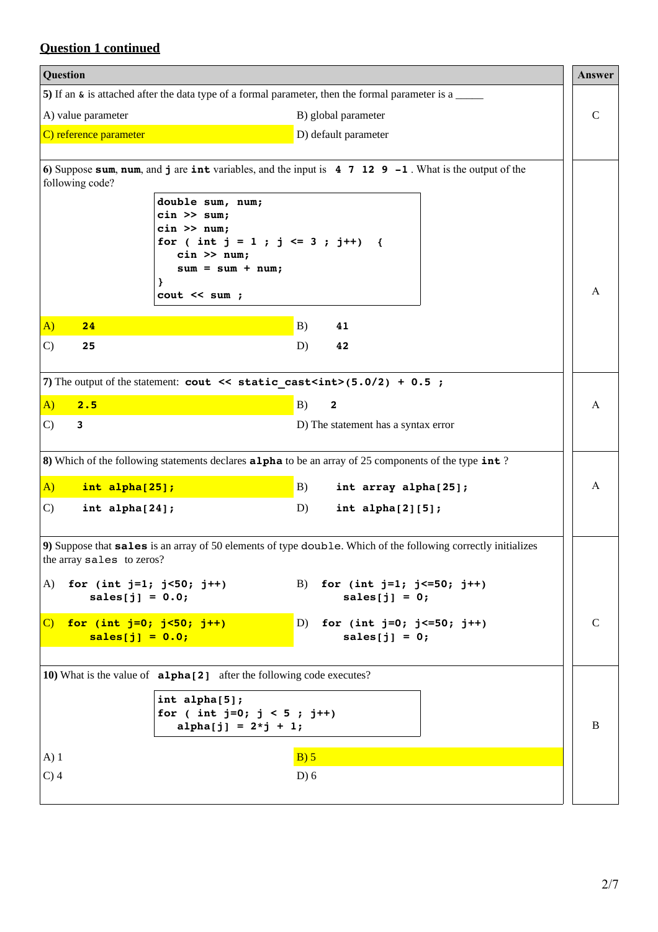# **Question 1 continued**

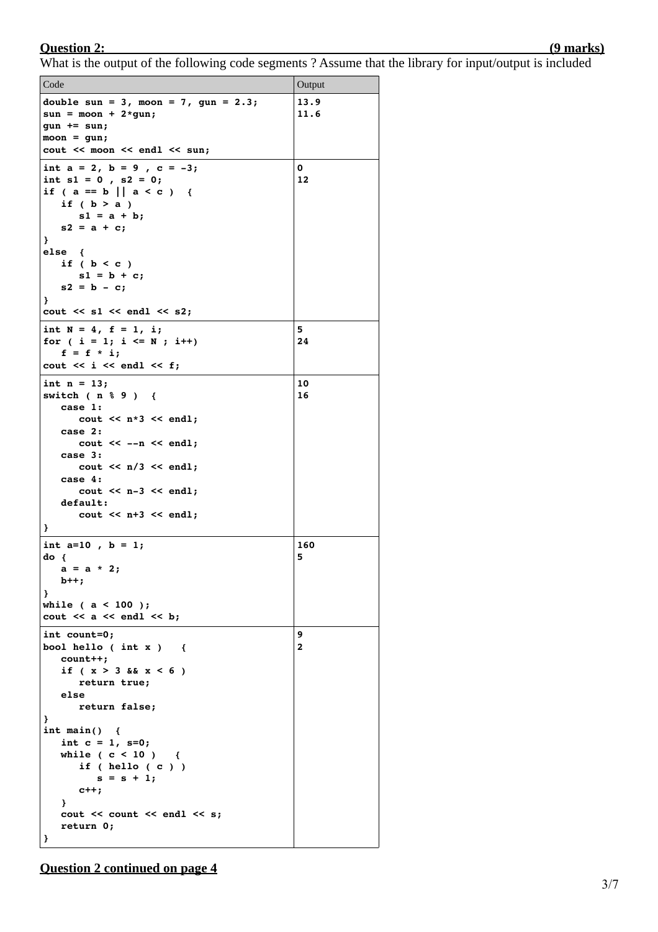### **Question 2: (9 marks)**

### What is the output of the following code segments ? Assume that the library for input/output is included

| Code                                                                                                                                                                                                                                                                                                               | Output            |
|--------------------------------------------------------------------------------------------------------------------------------------------------------------------------------------------------------------------------------------------------------------------------------------------------------------------|-------------------|
| double sun = $3$ , moon = $7$ , gun = $2.3$ ;<br>$sun = moon + 2*gun;$<br>$gun += sun;$<br>$moon = gun;$<br>cout << moon << endl << sun;                                                                                                                                                                           | 13.9<br>11.6      |
| int $a = 2$ , $b = 9$ , $c = -3$ ;<br>int $s1 = 0$ , $s2 = 0$ ;<br>if ( $a == b$    $a < c$ ) {<br>if $(b > a)$<br>$s1 = a + b;$<br>$s2 = a + c;$<br>}<br>$else$ {<br>if $(b < c)$<br>$s1 = b + c;$<br>$s2 = b - c;$<br>Ł<br>$\cot \ll s1 \ll \text{endl} \ll s2;$                                                 | 0<br>12           |
| int $N = 4$ , $f = 1$ , i;<br>for ( $i = 1$ ; $i \le N$ ; $i++)$<br>$f = f * i;$<br>cout $<<$ i $<<$ endl $<<$ f;                                                                                                                                                                                                  | 5<br>24           |
| int $n = 13$ ;<br>switch $(n \t3 \t9)$ {<br>case 1:<br>cout $<< n*3 << end1$ ;<br>case 2:<br>$\cot \leftarrow -n \leftarrow \text{endl};$<br>case 3:<br>$\text{cut} \ll n/3 \ll \text{endl}$ ;<br>case $4:$<br>$\cot \lt \lt \lt n-3 \lt \end$ endl;<br>default:<br>$\text{cut} \ll n+3 \ll \text{endl};$<br>}     | 10<br>16          |
| int $a=10$ , $b = 1$ ;<br>$do { }$<br>$a = a * 2;$<br>$b++;$<br>ł<br>while $(a < 100)$ ;<br>cout $<< a << end1 << b$ ;                                                                                                                                                                                             | 160<br>5          |
| int count=0;<br>bool hello (int $x$ ) {<br>$count++;$<br>if $(x > 3 \& x < 6)$<br>return true;<br>else<br>return false;<br>ł<br>int main() $\{$<br>int $c = 1$ , $s=0$ ;<br>while $(c < 10)$ {<br>if $($ hello $($ c $)$ $)$<br>$s = s + 1;$<br>$c++;$<br>Ł<br>cout $<<$ count $<<$ endl $<<$ s;<br>return 0;<br>ł | 9<br>$\mathbf{2}$ |

**Question 2 continued on page 4**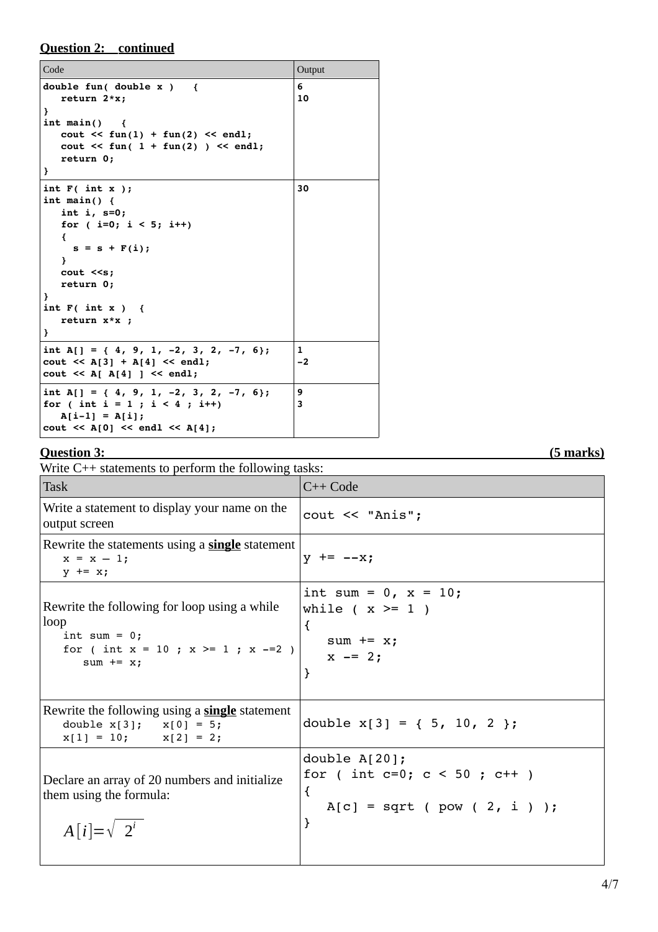**Question 2: continued**

| Code                                                                                                                                                                                                                             | Output               |
|----------------------------------------------------------------------------------------------------------------------------------------------------------------------------------------------------------------------------------|----------------------|
| double fun( double $x$ ) {<br>return $2*x$ ;<br>ł<br>$int \text{main}()$<br>$\sim$ 1<br>$\text{count} \leq \text{fun}(1) + \text{fun}(2) \leq \text{end}!$<br>cout $\langle$ fun( 1 + fun(2) ) $\langle$ endl;<br>return 0;<br>} | 6<br>10              |
| int $F($ int $x$ );<br>int main() $\{$<br>int i, $s=0$ ;<br>for $(i=0; i < 5; i++)$<br>€<br>$s = s + F(i);$<br>γ.<br>$\cot \leq s;$<br>return 0;<br>ł<br>int $F($ int $x$ $)$ {<br>return $x \times x$ ;<br>ł                    | 30                   |
| int A[] = { 4, 9, 1, -2, 3, 2, -7, 6};<br>$\text{cut} \ll A[3] + A[4] \ll \text{end}$ ;<br>$\text{cut} \ll A[ A[4] ] \ll \text{end}$ ;                                                                                           | $\mathbf{1}$<br>$-2$ |
| int A[] = { 4, 9, 1, -2, 3, 2, -7, 6};<br>for ( int i = 1 ; i < 4 ; i++)<br>$A[i-1] = A[i];$<br>$\text{cut} \ll A[0] \ll \text{endl} \ll A[4];$                                                                                  | 9<br>3               |

## **Question 3: (5 marks)**

| Write $C_{++}$ statements to perform the following tasks:                                                                            |                                                                                                     |  |
|--------------------------------------------------------------------------------------------------------------------------------------|-----------------------------------------------------------------------------------------------------|--|
| <b>Task</b>                                                                                                                          | $C++Code$                                                                                           |  |
| Write a statement to display your name on the<br>output screen                                                                       | cout << "Anis";                                                                                     |  |
| Rewrite the statements using a <b>single</b> statement<br>$x = x - 1;$<br>$y \neq x$ ;                                               | $y$ += --x;                                                                                         |  |
| Rewrite the following for loop using a while<br>loop<br>int sum = $0$ ;<br>for ( int $x = 10$ ; $x \ge 1$ ; $x = 2$ )<br>sum $+= x;$ | int sum = $0, x = 10;$<br>while $(x \geq 1)$<br>$\{$<br>$sum + = x;$<br>$x = 2;$<br>ł               |  |
| Rewrite the following using a <b>single</b> statement<br>double $x[3]$ ; $x[0] = 5$ ;<br>$x[1] = 10;$ $x[2] = 2;$                    | double $x[3] = \{5, 10, 2\}$ ;                                                                      |  |
| Declare an array of 20 numbers and initialize<br>them using the formula:<br>$A[i]=\sqrt{2^i}$                                        | double $A[20]$ ;<br>for ( int c=0; $c < 50$ ; $c++$ )<br>$\{$<br>$A[c] = sqrt (pow ( 2, i ) )$<br>} |  |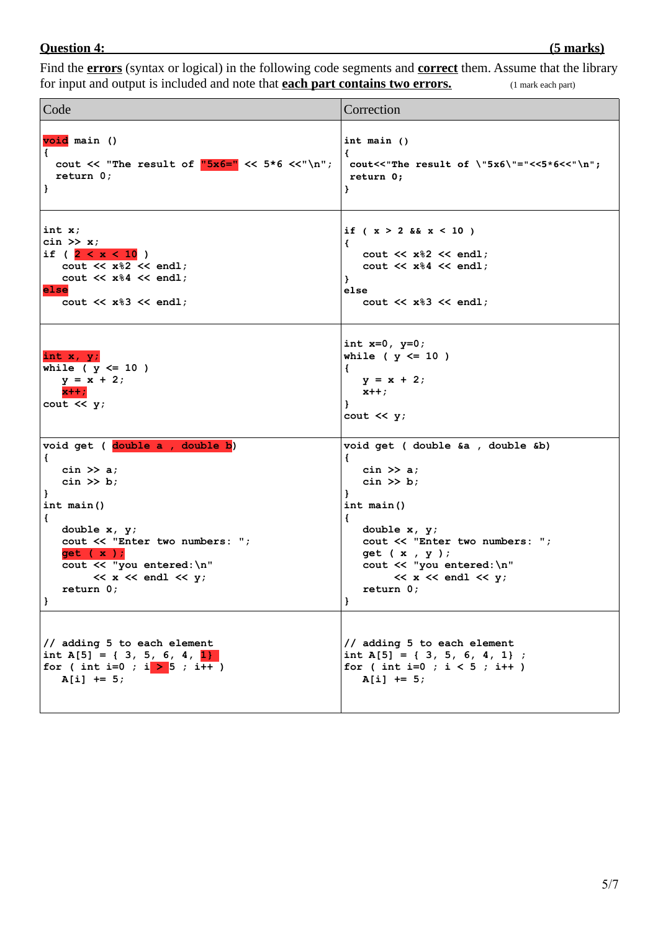# **Question 4: (5 marks)**

Find the **errors** (syntax or logical) in the following code segments and **correct** them. Assume that the library for input and output is included and note that **each part contains two errors.** (1 mark each part)

| Code                                                                                   | Correction                                                                                                      |
|----------------------------------------------------------------------------------------|-----------------------------------------------------------------------------------------------------------------|
| void main ()                                                                           | int main $()$                                                                                                   |
| $\left\{ \right.$                                                                      | €                                                                                                               |
| cout $\lt\lt$ "The result of " $5x6=$ " $\lt\lt$ 5*6 $\lt\lt$ "\n";                    | cout << "The result of \"5x6\"="<<5*6<<"\n";                                                                    |
| return 0;                                                                              | return 0;                                                                                                       |
| }                                                                                      | }                                                                                                               |
| int x;                                                                                 | if $(x > 2 \& x < 10)$                                                                                          |
| $\sin \gg x;$                                                                          | €                                                                                                               |
| if $(2 < x < 10)$                                                                      | cout $\ll$ x%2 $\ll$ endl;                                                                                      |
| cout $\ll x\$ 2 $\ll$ endl;                                                            | cout $<< x\$ 4 << end1;                                                                                         |
| cout $\ll$ x%4 $\ll$ endl;                                                             | }                                                                                                               |
| else                                                                                   | else                                                                                                            |
| cout $\ll$ x%3 $\ll$ endl;                                                             | cout $\lt\lt x\$ 3 $\lt\lt$ endl;                                                                               |
| int $x, y$ ;<br>while ( $y \le 10$ )<br>$y = x + 2;$<br>$x + +$ ;<br>cout $\lt\lt y$ ; | int $x=0$ , $y=0$ ;<br>while ( $y \le 10$ )<br>€<br>$y = x + 2;$<br>$x++;$<br>$\mathbf{F}$<br>cout $\lt\lt y$ ; |
| void get ( double a , double b)                                                        | void get ( double &a , double &b)                                                                               |
| €                                                                                      | €                                                                                                               |
| cin $\gg$ a;                                                                           | cin $\gg$ a;                                                                                                    |
| $\sin \gg b$ ;                                                                         | $\sin \gg b$ ;                                                                                                  |
| }                                                                                      | 1                                                                                                               |
| int main()                                                                             | int main()                                                                                                      |
| €                                                                                      | $\left\{ \right.$                                                                                               |
| double $x, y$ ;                                                                        | double $x, y$ ;                                                                                                 |
| cout << "Enter two numbers: ";                                                         | cout << "Enter two numbers: ";                                                                                  |
| get (x);                                                                               | get $(x, y)$ ;                                                                                                  |
| cout << "you entered: \n"                                                              | cout << "you entered: \n"                                                                                       |
| $\prec x \prec \text{endl} \prec y;$                                                   | $\ll$ x $\ll$ endl $\ll$ y;                                                                                     |
| return 0;                                                                              | return 0;                                                                                                       |
| $\mathbf{r}$                                                                           | $\mathbf{F}$                                                                                                    |
| // adding 5 to each element                                                            | // adding 5 to each element                                                                                     |
| int A[5] = { 3, 5, 6, 4, 1}                                                            | int A[5] = { 3, 5, 6, 4, 1} ;                                                                                   |
| for ( int i=0 ; i $>$ 5 ; i++ )                                                        | for ( int i=0 ; $i < 5$ ; i++ )                                                                                 |
| $A[i]$ += 5;                                                                           | $A[i]$ += 5;                                                                                                    |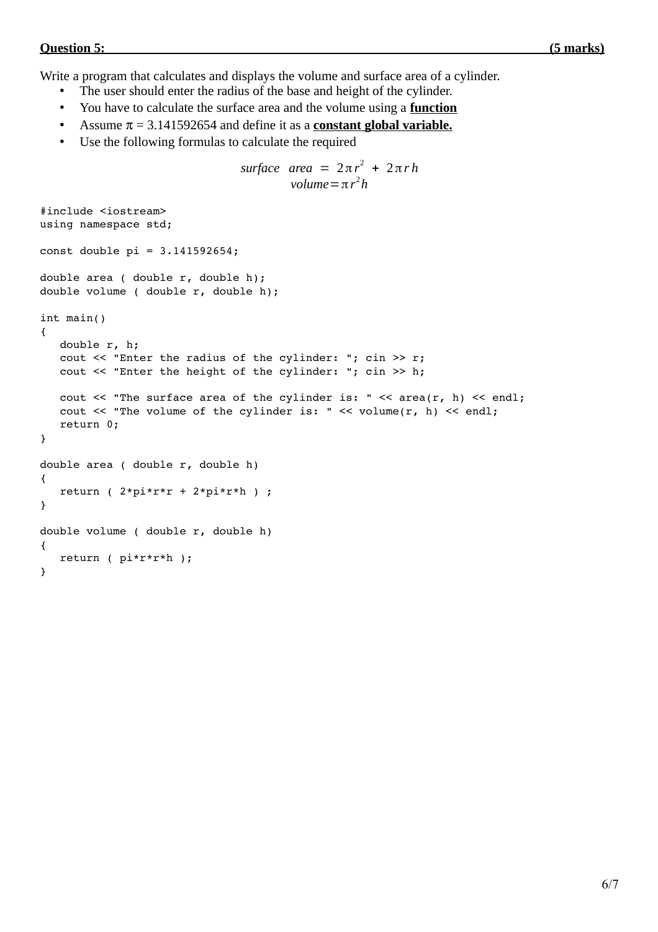### *Ouestion 5:* **(5 marks)**  *Constanting Constanting Constanting Constanting Constanting Constanting Constanting Constanting Constanting Constanting Constanting Constanting Constanting Constanting Constanting Constanting C*

Write a program that calculates and displays the volume and surface area of a cylinder.

- The user should enter the radius of the base and height of the cylinder.
- You have to calculate the surface area and the volume using a **function**
- Assume  $\pi$  = 3.141592654 and define it as a **constant global variable.**
- Use the following formulas to calculate the required

```
\textit{surface area} = 2\pi r^2 + 2\pi rhvolume=πr
2
h
#include <iostream>
using namespace std;
const double pi = 3.141592654;
double area ( double r, double h);
double volume ( double r, double h);
int main()
{
      double r, h;
   cout \ll "Enter the radius of the cylinder: "; cin >> r;
      cout << "Enter the height of the cylinder: "; cin >> h;
   cout << "The surface area of the cylinder is: " << area(r, h) << endi;   cout << "The volume of the cylinder is: " << volume(r, h) << endl;
      return 0;
}
double area ( double r, double h)
{
   return ( 2*pi*r*r + 2*pi*r*h ) ;
}
double volume ( double r, double h)
{
      return ( pi*r*r*h );
}
```